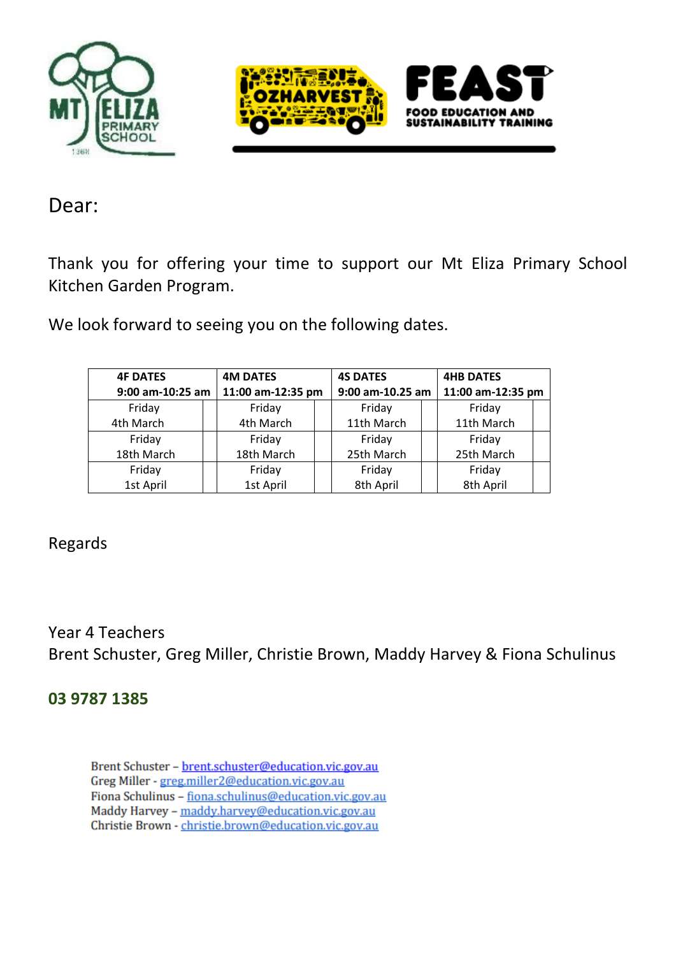



Dear:

Thank you for offering your time to support our Mt Eliza Primary School Kitchen Garden Program.

We look forward to seeing you on the following dates.

| <b>4F DATES</b>                       | <b>4M DATES</b> | <b>4S DATES</b>  |  | <b>4HB DATES</b>  |  |
|---------------------------------------|-----------------|------------------|--|-------------------|--|
| 11:00 am-12:35 pm<br>9:00 am-10:25 am |                 | 9:00 am-10.25 am |  | 11:00 am-12:35 pm |  |
| Friday                                | Friday          | Friday           |  | Friday            |  |
| 4th March                             | 4th March       | 11th March       |  | 11th March        |  |
| Friday                                | Friday          | Friday           |  | Friday            |  |
| 18th March                            | 18th March      | 25th March       |  | 25th March        |  |
| Friday                                | Friday          | Friday           |  | Friday            |  |
| 1st April                             | 1st April       | 8th April        |  | 8th April         |  |

Regards

Year 4 Teachers Brent Schuster, Greg Miller, Christie Brown, Maddy Harvey & Fiona Schulinus

# **03 9787 1385**

Brent Schuster - brent.schuster@education.vic.gov.au Greg Miller - greg.miller2@education.vic.gov.au Fiona Schulinus - fiona.schulinus@education.vic.gov.au Maddy Harvey - maddy.harvey@education.vic.gov.au Christie Brown - christie.brown@education.vic.gov.au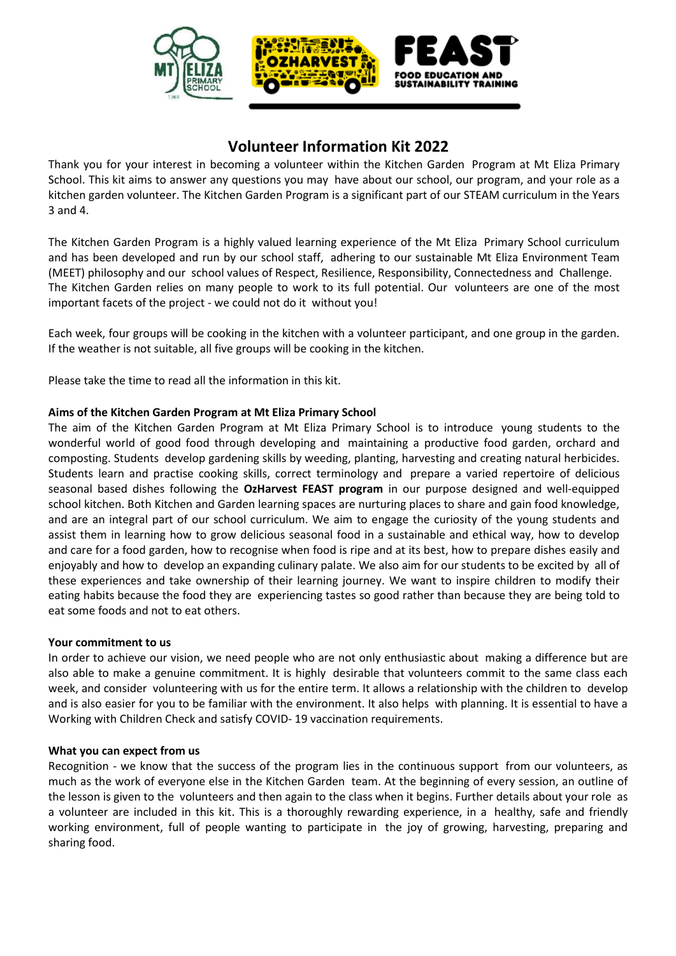

# **Volunteer Information Kit 2022**

Thank you for your interest in becoming a volunteer within the Kitchen Garden Program at Mt Eliza Primary School. This kit aims to answer any questions you may have about our school, our program, and your role as a kitchen garden volunteer. The Kitchen Garden Program is a significant part of our STEAM curriculum in the Years 3 and 4.

The Kitchen Garden Program is a highly valued learning experience of the Mt Eliza Primary School curriculum and has been developed and run by our school staff, adhering to our sustainable Mt Eliza Environment Team (MEET) philosophy and our school values of Respect, Resilience, Responsibility, Connectedness and Challenge. The Kitchen Garden relies on many people to work to its full potential. Our volunteers are one of the most important facets of the project - we could not do it without you!

Each week, four groups will be cooking in the kitchen with a volunteer participant, and one group in the garden. If the weather is not suitable, all five groups will be cooking in the kitchen.

Please take the time to read all the information in this kit.

## **Aims of the Kitchen Garden Program at Mt Eliza Primary School**

The aim of the Kitchen Garden Program at Mt Eliza Primary School is to introduce young students to the wonderful world of good food through developing and maintaining a productive food garden, orchard and composting. Students develop gardening skills by weeding, planting, harvesting and creating natural herbicides. Students learn and practise cooking skills, correct terminology and prepare a varied repertoire of delicious seasonal based dishes following the **OzHarvest FEAST program** in our purpose designed and well-equipped school kitchen. Both Kitchen and Garden learning spaces are nurturing places to share and gain food knowledge, and are an integral part of our school curriculum. We aim to engage the curiosity of the young students and assist them in learning how to grow delicious seasonal food in a sustainable and ethical way, how to develop and care for a food garden, how to recognise when food is ripe and at its best, how to prepare dishes easily and enjoyably and how to develop an expanding culinary palate. We also aim for our students to be excited by all of these experiences and take ownership of their learning journey. We want to inspire children to modify their eating habits because the food they are experiencing tastes so good rather than because they are being told to eat some foods and not to eat others.

### **Your commitment to us**

In order to achieve our vision, we need people who are not only enthusiastic about making a difference but are also able to make a genuine commitment. It is highly desirable that volunteers commit to the same class each week, and consider volunteering with us for the entire term. It allows a relationship with the children to develop and is also easier for you to be familiar with the environment. It also helps with planning. It is essential to have a Working with Children Check and satisfy COVID- 19 vaccination requirements.

### **What you can expect from us**

Recognition - we know that the success of the program lies in the continuous support from our volunteers, as much as the work of everyone else in the Kitchen Garden team. At the beginning of every session, an outline of the lesson is given to the volunteers and then again to the class when it begins. Further details about your role as a volunteer are included in this kit. This is a thoroughly rewarding experience, in a healthy, safe and friendly working environment, full of people wanting to participate in the joy of growing, harvesting, preparing and sharing food.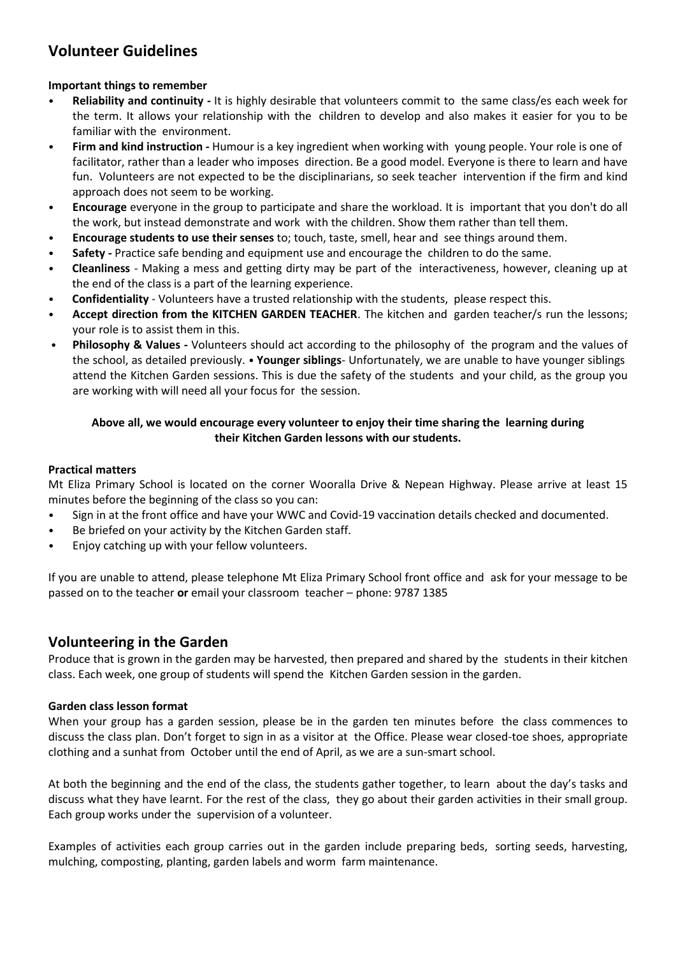# **Volunteer Guidelines**

# **Important things to remember**

- **Reliability and continuity -** It is highly desirable that volunteers commit to the same class/es each week for the term. It allows your relationship with the children to develop and also makes it easier for you to be familiar with the environment.
- **Firm and kind instruction -** Humour is a key ingredient when working with young people. Your role is one of facilitator, rather than a leader who imposes direction. Be a good model. Everyone is there to learn and have fun. Volunteers are not expected to be the disciplinarians, so seek teacher intervention if the firm and kind approach does not seem to be working.
- **Encourage** everyone in the group to participate and share the workload. It is important that you don't do all the work, but instead demonstrate and work with the children. Show them rather than tell them.
- **Encourage students to use their senses** to; touch, taste, smell, hear and see things around them.
- **Safety -** Practice safe bending and equipment use and encourage the children to do the same.
- **Cleanliness**  Making a mess and getting dirty may be part of the interactiveness, however, cleaning up at the end of the class is a part of the learning experience.
- **Confidentiality** Volunteers have a trusted relationship with the students, please respect this.
- **Accept direction from the KITCHEN GARDEN TEACHER**. The kitchen and garden teacher/s run the lessons; your role is to assist them in this.
- **Philosophy & Values -** Volunteers should act according to the philosophy of the program and the values of the school, as detailed previously. • **Younger siblings**- Unfortunately, we are unable to have younger siblings attend the Kitchen Garden sessions. This is due the safety of the students and your child, as the group you are working with will need all your focus for the session.

# **Above all, we would encourage every volunteer to enjoy their time sharing the learning during their Kitchen Garden lessons with our students.**

## **Practical matters**

Mt Eliza Primary School is located on the corner Wooralla Drive & Nepean Highway. Please arrive at least 15 minutes before the beginning of the class so you can:

- Sign in at the front office and have your WWC and Covid-19 vaccination details checked and documented.
- Be briefed on your activity by the Kitchen Garden staff.
- Enjoy catching up with your fellow volunteers.

If you are unable to attend, please telephone Mt Eliza Primary School front office and ask for your message to be passed on to the teacher **or** email your classroom teacher – phone: 9787 1385

# **Volunteering in the Garden**

Produce that is grown in the garden may be harvested, then prepared and shared by the students in their kitchen class. Each week, one group of students will spend the Kitchen Garden session in the garden.

### **Garden class lesson format**

When your group has a garden session, please be in the garden ten minutes before the class commences to discuss the class plan. Don't forget to sign in as a visitor at the Office. Please wear closed-toe shoes, appropriate clothing and a sunhat from October until the end of April, as we are a sun-smart school.

At both the beginning and the end of the class, the students gather together, to learn about the day's tasks and discuss what they have learnt. For the rest of the class, they go about their garden activities in their small group. Each group works under the supervision of a volunteer.

Examples of activities each group carries out in the garden include preparing beds, sorting seeds, harvesting, mulching, composting, planting, garden labels and worm farm maintenance.